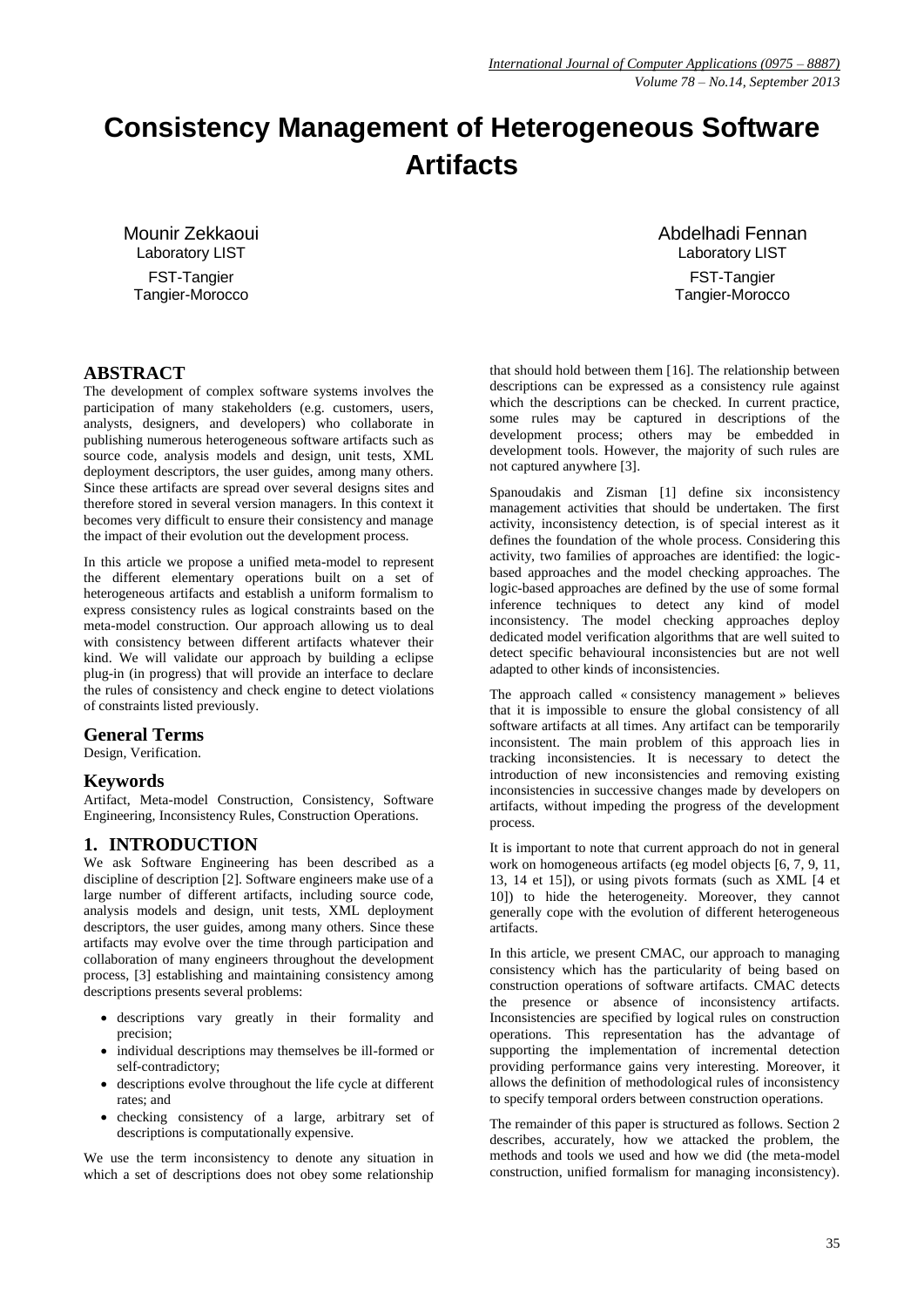# **Consistency Management of Heterogeneous Software Artifacts**

Mounir Zekkaoui Laboratory LIST FST-Tangier Tangier-Morocco

# **ABSTRACT**

The development of complex software systems involves the participation of many stakeholders (e.g. customers, users, analysts, designers, and developers) who collaborate in publishing numerous heterogeneous software artifacts such as source code, analysis models and design, unit tests, XML deployment descriptors, the user guides, among many others. Since these artifacts are spread over several designs sites and therefore stored in several version managers. In this context it becomes very difficult to ensure their consistency and manage the impact of their evolution out the development process.

In this article we propose a unified meta-model to represent the different elementary operations built on a set of heterogeneous artifacts and establish a uniform formalism to express consistency rules as logical constraints based on the meta-model construction. Our approach allowing us to deal with consistency between different artifacts whatever their kind. We will validate our approach by building a eclipse plug-in (in progress) that will provide an interface to declare the rules of consistency and check engine to detect violations of constraints listed previously.

#### **General Terms**

Design, Verification.

#### **Keywords**

Artifact, Meta-model Construction, Consistency, Software Engineering, Inconsistency Rules, Construction Operations.

## **1. INTRODUCTION**

We ask Software Engineering has been described as a discipline of description [2]. Software engineers make use of a large number of different artifacts, including source code, analysis models and design, unit tests, XML deployment descriptors, the user guides, among many others. Since these artifacts may evolve over the time through participation and collaboration of many engineers throughout the development process, [3] establishing and maintaining consistency among descriptions presents several problems:

- descriptions vary greatly in their formality and precision;
- individual descriptions may themselves be ill-formed or self-contradictory;
- descriptions evolve throughout the life cycle at different rates; and
- checking consistency of a large, arbitrary set of descriptions is computationally expensive.

We use the term inconsistency to denote any situation in which a set of descriptions does not obey some relationship Abdelhadi Fennan Laboratory LIST FST-Tangier Tangier-Morocco

that should hold between them [16]. The relationship between descriptions can be expressed as a consistency rule against which the descriptions can be checked. In current practice, some rules may be captured in descriptions of the development process; others may be embedded in development tools. However, the majority of such rules are not captured anywhere [3].

Spanoudakis and Zisman [1] define six inconsistency management activities that should be undertaken. The first activity, inconsistency detection, is of special interest as it defines the foundation of the whole process. Considering this activity, two families of approaches are identified: the logicbased approaches and the model checking approaches. The logic-based approaches are defined by the use of some formal inference techniques to detect any kind of model inconsistency. The model checking approaches deploy dedicated model verification algorithms that are well suited to detect specific behavioural inconsistencies but are not well adapted to other kinds of inconsistencies.

The approach called « consistency management » believes that it is impossible to ensure the global consistency of all software artifacts at all times. Any artifact can be temporarily inconsistent. The main problem of this approach lies in tracking inconsistencies. It is necessary to detect the introduction of new inconsistencies and removing existing inconsistencies in successive changes made by developers on artifacts, without impeding the progress of the development process.

It is important to note that current approach do not in general work on homogeneous artifacts (eg model objects [6, 7, 9, 11, 13, 14 et 15]), or using pivots formats (such as XML [4 et 10]) to hide the heterogeneity. Moreover, they cannot generally cope with the evolution of different heterogeneous artifacts.

In this article, we present CMAC, our approach to managing consistency which has the particularity of being based on construction operations of software artifacts. CMAC detects the presence or absence of inconsistency artifacts. Inconsistencies are specified by logical rules on construction operations. This representation has the advantage of supporting the implementation of incremental detection providing performance gains very interesting. Moreover, it allows the definition of methodological rules of inconsistency to specify temporal orders between construction operations.

The remainder of this paper is structured as follows. Section 2 describes, accurately, how we attacked the problem, the methods and tools we used and how we did (the meta-model construction, unified formalism for managing inconsistency).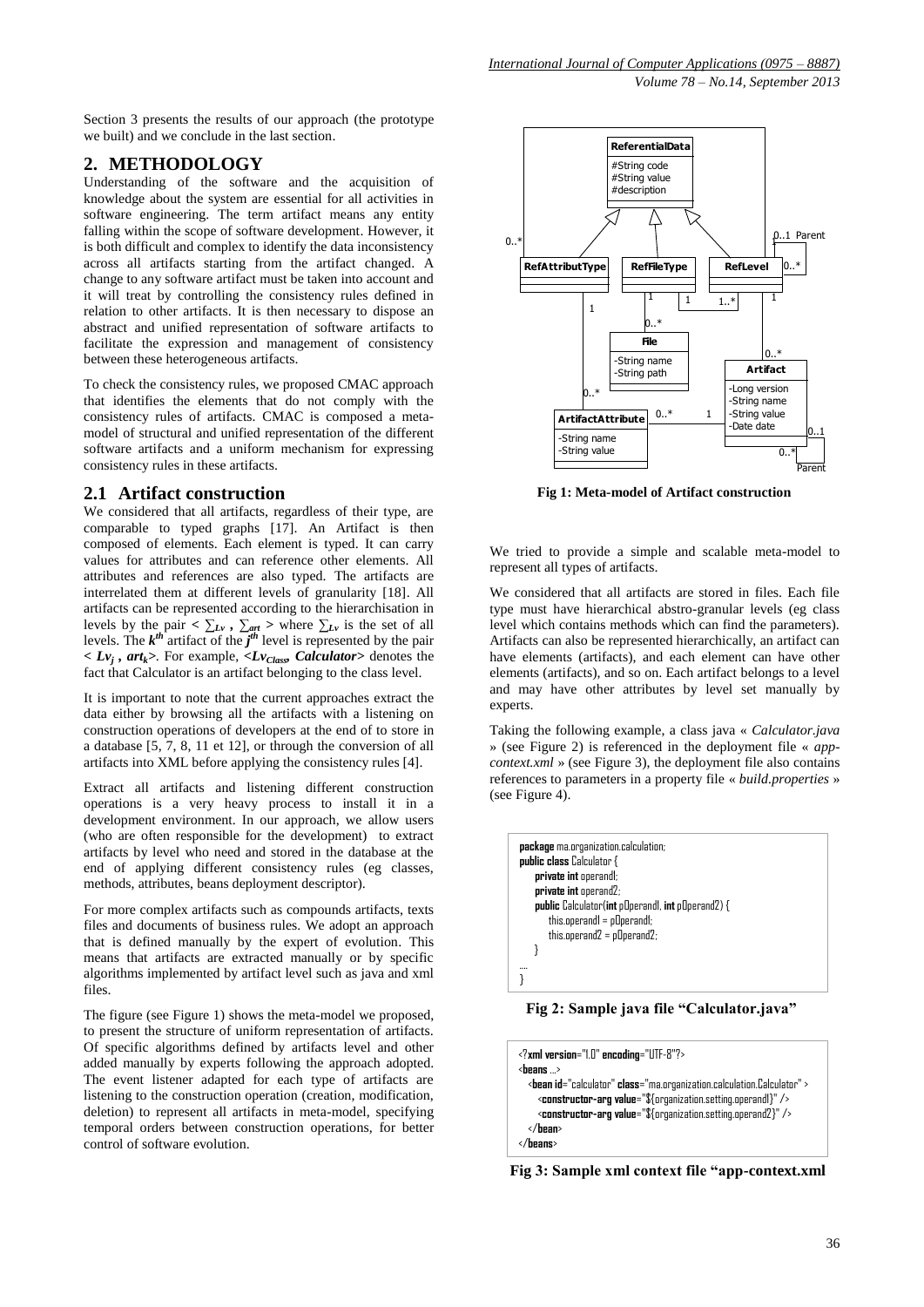Section 3 presents the results of our approach (the prototype we built) and we conclude in the last section.

# **2. METHODOLOGY**

Understanding of the software and the acquisition of knowledge about the system are essential for all activities in software engineering. The term artifact means any entity falling within the scope of software development. However, it is both difficult and complex to identify the data inconsistency across all artifacts starting from the artifact changed. A change to any software artifact must be taken into account and it will treat by controlling the consistency rules defined in relation to other artifacts. It is then necessary to dispose an abstract and unified representation of software artifacts to facilitate the expression and management of consistency between these heterogeneous artifacts.

To check the consistency rules, we proposed CMAC approach that identifies the elements that do not comply with the consistency rules of artifacts. CMAC is composed a metamodel of structural and unified representation of the different software artifacts and a uniform mechanism for expressing consistency rules in these artifacts.

## **2.1 Artifact construction**

We considered that all artifacts, regardless of their type, are comparable to typed graphs [17]. An Artifact is then composed of elements. Each element is typed. It can carry values for attributes and can reference other elements. All attributes and references are also typed. The artifacts are interrelated them at different levels of granularity [18]. All artifacts can be represented according to the hierarchisation in levels by the pair  $\langle \sum_{Lv} \rangle$ ,  $\sum_{art} \rangle$  where  $\sum_{Lv}$  is the set of all levels. The  $k^{th}$  artifact of the  $j^{th}$  level is represented by the pair *< Lv<sup>j</sup> , artk>*. For example, *<LvClass, Calculator>* denotes the fact that Calculator is an artifact belonging to the class level.

It is important to note that the current approaches extract the data either by browsing all the artifacts with a listening on construction operations of developers at the end of to store in a database [5, 7, 8, 11 et 12], or through the conversion of all artifacts into XML before applying the consistency rules [4].

Extract all artifacts and listening different construction operations is a very heavy process to install it in a development environment. In our approach, we allow users (who are often responsible for the development) to extract artifacts by level who need and stored in the database at the end of applying different consistency rules (eg classes, methods, attributes, beans deployment descriptor).

For more complex artifacts such as compounds artifacts, texts files and documents of business rules. We adopt an approach that is defined manually by the expert of evolution. This means that artifacts are extracted manually or by specific algorithms implemented by artifact level such as java and xml files.

The figure (see Figure 1) shows the meta-model we proposed, to present the structure of uniform representation of artifacts. Of specific algorithms defined by artifacts level and other added manually by experts following the approach adopted. The event listener adapted for each type of artifacts are listening to the construction operation (creation, modification, deletion) to represent all artifacts in meta-model, specifying temporal orders between construction operations, for better control of software evolution.



**Fig 1: Meta-model of Artifact construction**

We tried to provide a simple and scalable meta-model to represent all types of artifacts.

We considered that all artifacts are stored in files. Each file type must have hierarchical abstro-granular levels (eg class level which contains methods which can find the parameters). Artifacts can also be represented hierarchically, an artifact can have elements (artifacts), and each element can have other elements (artifacts), and so on. Each artifact belongs to a level and may have other attributes by level set manually by experts.

Taking the following example, a class java « *Calculator.java* » (see Figure 2) is referenced in the deployment file « *appcontext.xml* » (see Figure 3), the deployment file also contains references to parameters in a property file « *build.properties* » (see Figure 4).



**Fig 2: Sample java file "Calculator.java"**

```
<?xml version="1.0" encoding="UTF-8"?>
<beans ...>
   <bean id="calculator" class="ma.organization.calculation.Calculator" >
     <constructor-arg value="${organization.setting.operand1}" />
     <constructor-arg value="${organization.setting.operand2}" />
   </bean>
</beans>
```
**Fig 3: Sample xml context file "app-context.xml**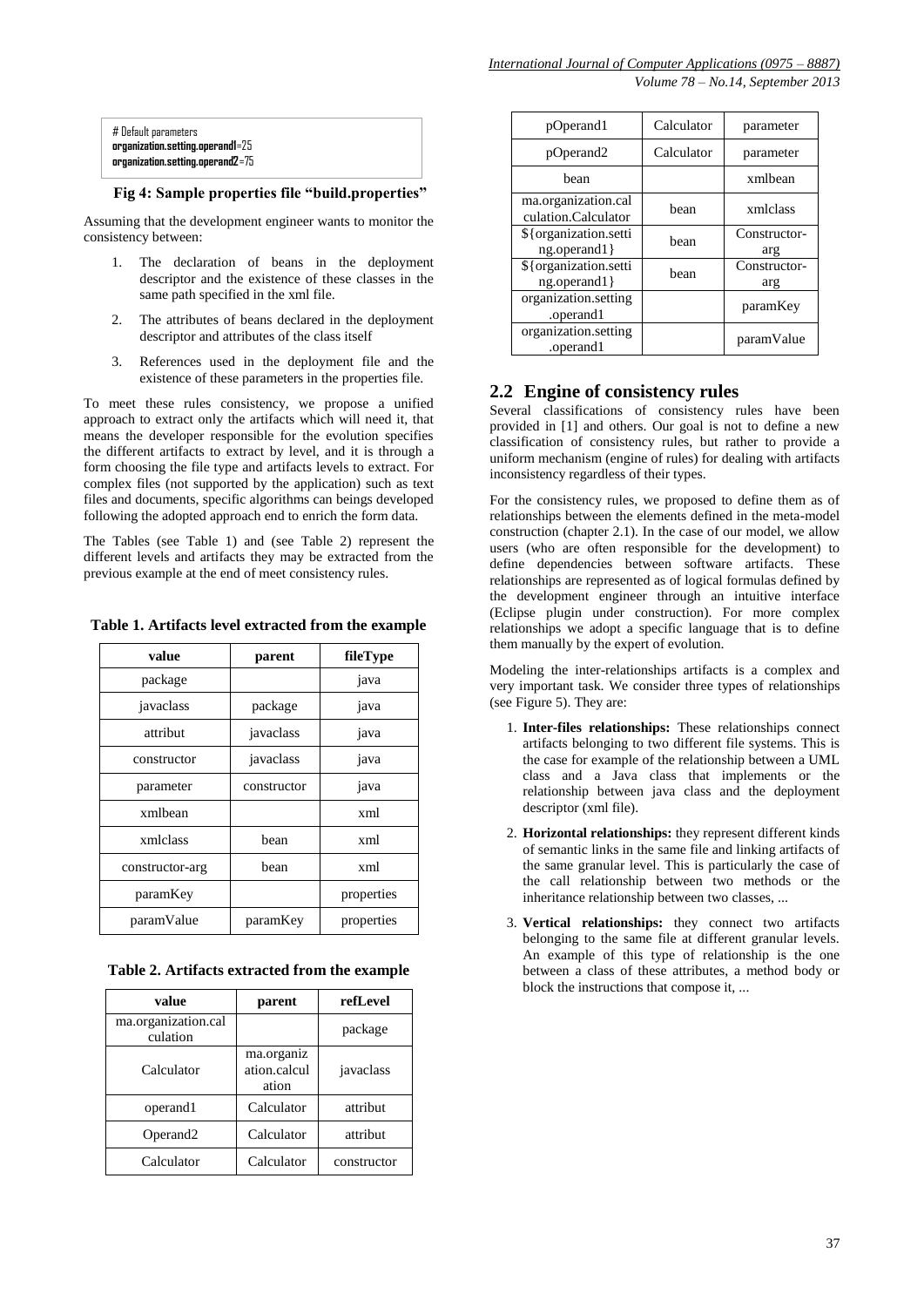| # Default parameters             |  |
|----------------------------------|--|
| organization.setting.operand1=25 |  |
| organization.setting.operand2=75 |  |

#### **Fig 4: Sample properties file "build.properties"**

Assuming that the development engineer wants to monitor the consistency between:

- 1. The declaration of beans in the deployment descriptor and the existence of these classes in the same path specified in the xml file.
- 2. The attributes of beans declared in the deployment descriptor and attributes of the class itself
- 3. References used in the deployment file and the existence of these parameters in the properties file.

To meet these rules consistency, we propose a unified approach to extract only the artifacts which will need it, that means the developer responsible for the evolution specifies the different artifacts to extract by level, and it is through a form choosing the file type and artifacts levels to extract. For complex files (not supported by the application) such as text files and documents, specific algorithms can beings developed following the adopted approach end to enrich the form data.

The Tables (see Table 1) and (see Table 2) represent the different levels and artifacts they may be extracted from the previous example at the end of meet consistency rules.

**Table 1. Artifacts level extracted from the example**

| value           | parent      | fileType   |
|-----------------|-------------|------------|
| package         |             | java       |
| javaclass       | package     | java       |
| attribut        | javaclass   | java       |
| constructor     | javaclass   | java       |
| parameter       | constructor | java       |
| xmlbean         |             | xml        |
| xmlclass        | bean        | xml        |
| constructor-arg | bean        | xml        |
| paramKey        |             | properties |
| paramValue      | paramKey    | properties |

**Table 2. Artifacts extracted from the example**

| value                           | parent                              | refLevel    |
|---------------------------------|-------------------------------------|-------------|
| ma.organization.cal<br>culation |                                     | package     |
| Calculator                      | ma.organiz<br>ation.calcul<br>ation | javaclass   |
| operand1                        | Calculator                          | attribut    |
| Operand <sub>2</sub>            | Calculator                          | attribut    |
| Calculator                      | Calculator                          | constructor |

| pOperand1                                  | Calculator | parameter           |
|--------------------------------------------|------------|---------------------|
| pOperand <sub>2</sub>                      | Calculator | parameter           |
| bean                                       |            | xmlbean             |
| ma.organization.cal<br>culation.Calculator | bean       | xmlclass            |
| \${organization.setti<br>$ng.openand1$ }   | hean       | Constructor-<br>arg |
| \${organization.setti<br>$ng.openand1$ }   | bean       | Constructor-<br>arg |
| organization.setting<br>.operand1          |            | paramKey            |
| organization.setting<br>.operand1          |            | paramValue          |

# **2.2 Engine of consistency rules**

Several classifications of consistency rules have been provided in [1] and others. Our goal is not to define a new classification of consistency rules, but rather to provide a uniform mechanism (engine of rules) for dealing with artifacts inconsistency regardless of their types.

For the consistency rules, we proposed to define them as of relationships between the elements defined in the meta-model construction (chapter 2.1). In the case of our model, we allow users (who are often responsible for the development) to define dependencies between software artifacts. These relationships are represented as of logical formulas defined by the development engineer through an intuitive interface (Eclipse plugin under construction). For more complex relationships we adopt a specific language that is to define them manually by the expert of evolution.

Modeling the inter-relationships artifacts is a complex and very important task. We consider three types of relationships (see Figure 5). They are:

- 1. **Inter-files relationships:** These relationships connect artifacts belonging to two different file systems. This is the case for example of the relationship between a UML class and a Java class that implements or the relationship between java class and the deployment descriptor (xml file).
- 2. **Horizontal relationships:** they represent different kinds of semantic links in the same file and linking artifacts of the same granular level. This is particularly the case of the call relationship between two methods or the inheritance relationship between two classes, ...
- 3. **Vertical relationships:** they connect two artifacts belonging to the same file at different granular levels. An example of this type of relationship is the one between a class of these attributes, a method body or block the instructions that compose it, ...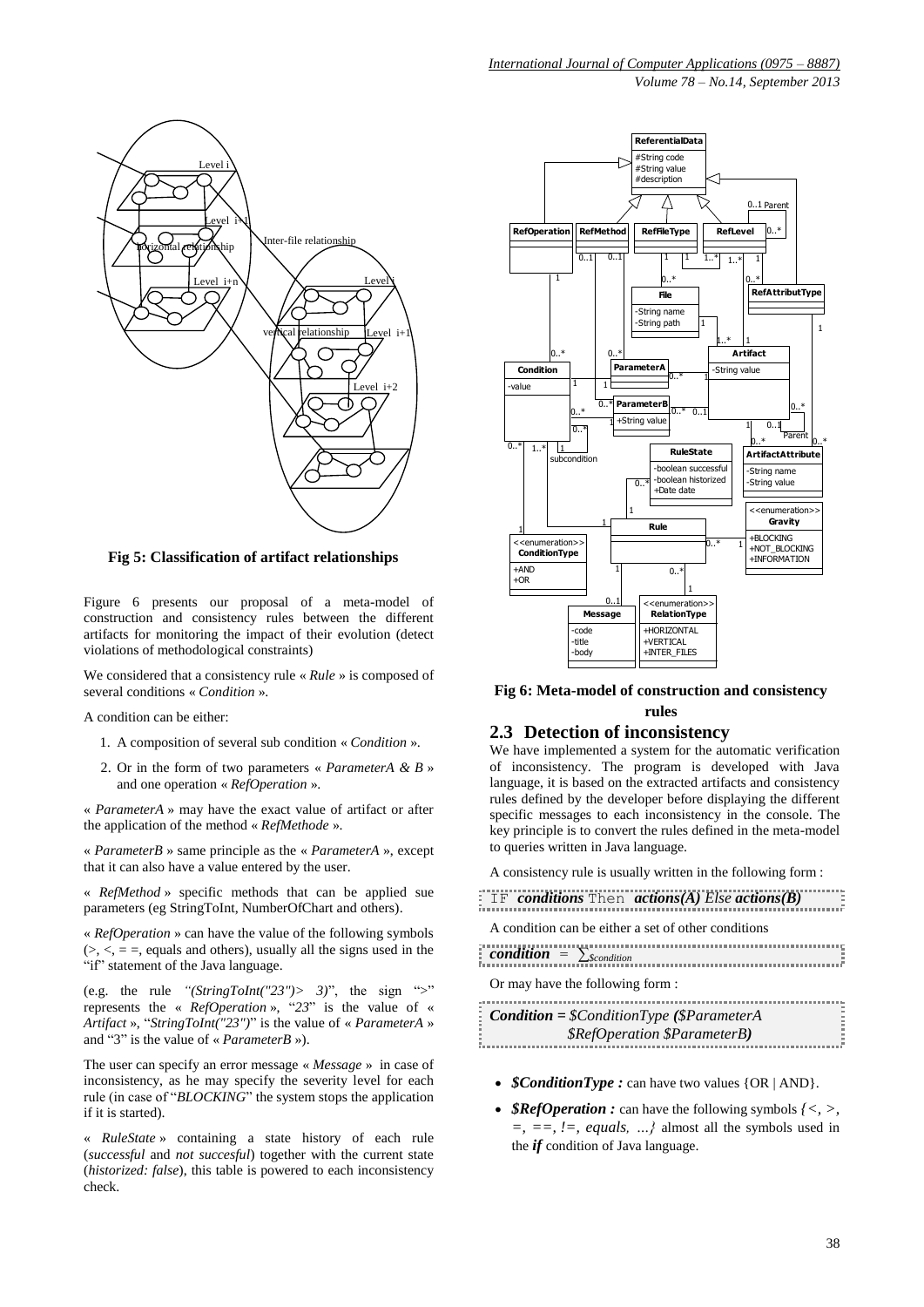

**Fig 5: Classification of artifact relationships**

Figure 6 presents our proposal of a meta-model of construction and consistency rules between the different artifacts for monitoring the impact of their evolution (detect violations of methodological constraints)

We considered that a consistency rule « *Rule* » is composed of several conditions « *Condition* ».

A condition can be either:

- 1. A composition of several sub condition « *Condition* ».
- 2. Or in the form of two parameters « *ParameterA & B* » and one operation « *RefOperation* ».

« *ParameterA* » may have the exact value of artifact or after the application of the method « *RefMethode* ».

« *ParameterB* » same principle as the « *ParameterA* », except that it can also have a value entered by the user.

« *RefMethod* » specific methods that can be applied sue parameters (eg StringToInt, NumberOfChart and others).

« *RefOperation* » can have the value of the following symbols  $(>, <, =, =$ , equals and others), usually all the signs used in the "if" statement of the Java language.

(e.g. the rule "(StringToInt("23")> 3)", the sign ">" represents the « *RefOperation* », "*23*" is the value of « *Artifact* », "*StringToInt("23")*" is the value of « *ParameterA* » and "3" is the value of « *ParameterB* »).

The user can specify an error message « *Message* » in case of inconsistency, as he may specify the severity level for each rule (in case of "*BLOCKING*" the system stops the application if it is started).

« *RuleState* » containing a state history of each rule (*successful* and *not succesful*) together with the current state (*historized: false*), this table is powered to each inconsistency check.



#### **Fig 6: Meta-model of construction and consistency rules**

#### **2.3 Detection of inconsistency**

We have implemented a system for the automatic verification of inconsistency. The program is developed with Java language, it is based on the extracted artifacts and consistency rules defined by the developer before displaying the different specific messages to each inconsistency in the console. The key principle is to convert the rules defined in the meta-model to queries written in Java language.

A consistency rule is usually written in the following form :

IF *conditions* Then *actions(A) Else actions(B)*

A condition can be either a set of other conditions

| Or may have the following form:<br>$\therefore$ Condition = \$ConditionType (\$ParameterA<br>\$RefOperation \$ParameterB) | condition = $\sum$ <i>scondition</i> |  |
|---------------------------------------------------------------------------------------------------------------------------|--------------------------------------|--|
|                                                                                                                           |                                      |  |
|                                                                                                                           |                                      |  |

- *\$ConditionType :* can have two values {OR | AND}.
- *\$RefOperation* : can have the following symbols  $\{\leq, >,\}$ *=, ==, !=, equals, …}* almost all the symbols used in the *if* condition of Java language.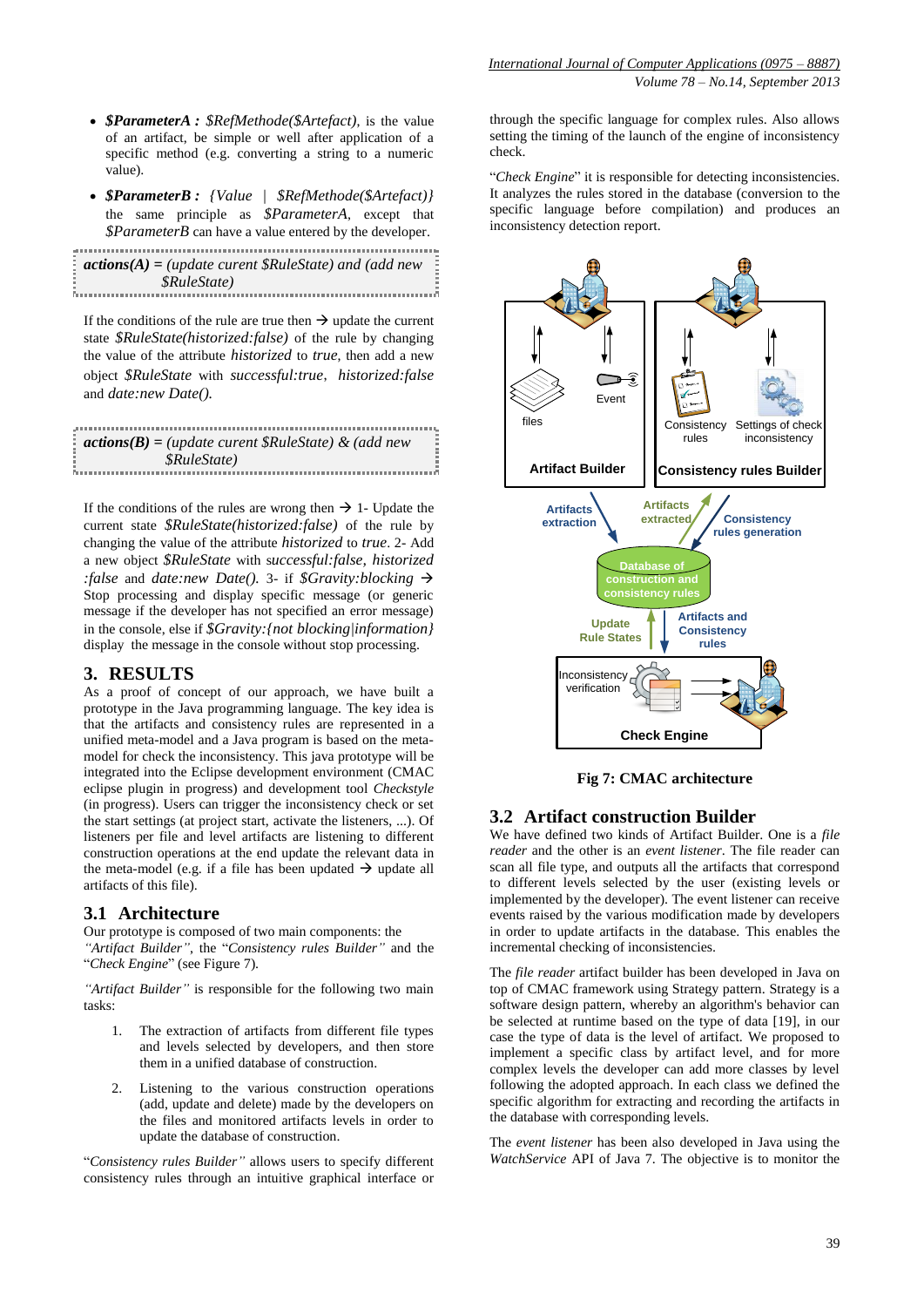- *\$ParameterA : \$RefMethode(\$Artefact)*, is the value of an artifact, be simple or well after application of a specific method (e.g. converting a string to a numeric value).
- *\$ParameterB : {Value | \$RefMethode(\$Artefact)}* the same principle as *\$ParameterA*, except that *\$ParameterB* can have a value entered by the developer.

| $\frac{1}{2}$ <b>actions(A)</b> = (update curent \$RuleState) and (add new |  |
|----------------------------------------------------------------------------|--|
|                                                                            |  |
| <i><b>\$RuleState</b></i><br><b>A</b>                                      |  |
|                                                                            |  |

If the conditions of the rule are true then  $\rightarrow$  update the current state *\$RuleState(historized:false)* of the rule by changing the value of the attribute *historized* to *true*, then add a new object *\$RuleState* with *successful:true*, *historized:false*  and *date:new Date().*

| $\alpha$ actions(B) = (update curent \$RuleState) & (add new |  |
|--------------------------------------------------------------|--|
|                                                              |  |
| \$RuleState\$                                                |  |
|                                                              |  |

If the conditions of the rules are wrong then  $\rightarrow$  1- Update the current state *\$RuleState(historized:false)* of the rule by changing the value of the attribute *historized* to *true*. 2- Add a new object *\$RuleState* with s*uccessful:false, historized :false* and *date:new Date().* 3- if *\$Gravity:blocking* Stop processing and display specific message (or generic message if the developer has not specified an error message) in the console, else if *\$Gravity:{not blocking|information}* display the message in the console without stop processing.

#### **3. RESULTS**

As a proof of concept of our approach, we have built a prototype in the Java programming language. The key idea is that the artifacts and consistency rules are represented in a unified meta-model and a Java program is based on the metamodel for check the inconsistency. This java prototype will be integrated into the Eclipse development environment (CMAC eclipse plugin in progress) and development tool *Checkstyle* (in progress). Users can trigger the inconsistency check or set the start settings (at project start, activate the listeners, ...). Of listeners per file and level artifacts are listening to different construction operations at the end update the relevant data in the meta-model (e.g. if a file has been updated  $\rightarrow$  update all artifacts of this file).

#### **3.1 Architecture**

Our prototype is composed of two main components: the *"Artifact Builder"*, the "*Consistency rules Builder"* and the "*Check Engine*" (see Figure 7).

*"Artifact Builder"* is responsible for the following two main tasks:

- 1. The extraction of artifacts from different file types and levels selected by developers, and then store them in a unified database of construction.
- 2. Listening to the various construction operations (add, update and delete) made by the developers on the files and monitored artifacts levels in order to update the database of construction.

"*Consistency rules Builder"* allows users to specify different consistency rules through an intuitive graphical interface or

through the specific language for complex rules. Also allows setting the timing of the launch of the engine of inconsistency check.

"*Check Engine*" it is responsible for detecting inconsistencies. It analyzes the rules stored in the database (conversion to the specific language before compilation) and produces an inconsistency detection report.



**Fig 7: CMAC architecture**

#### **3.2 Artifact construction Builder**

We have defined two kinds of Artifact Builder. One is a *file reader* and the other is an *event listener*. The file reader can scan all file type, and outputs all the artifacts that correspond to different levels selected by the user (existing levels or implemented by the developer). The event listener can receive events raised by the various modification made by developers in order to update artifacts in the database. This enables the incremental checking of inconsistencies.

The *file reader* artifact builder has been developed in Java on top of CMAC framework using Strategy pattern. Strategy is a software design pattern, whereby an algorithm's behavior can be selected at runtime based on the type of data [19], in our case the type of data is the level of artifact. We proposed to implement a specific class by artifact level, and for more complex levels the developer can add more classes by level following the adopted approach. In each class we defined the specific algorithm for extracting and recording the artifacts in the database with corresponding levels.

The *event listener* has been also developed in Java using the *WatchService* API of Java 7. The objective is to monitor the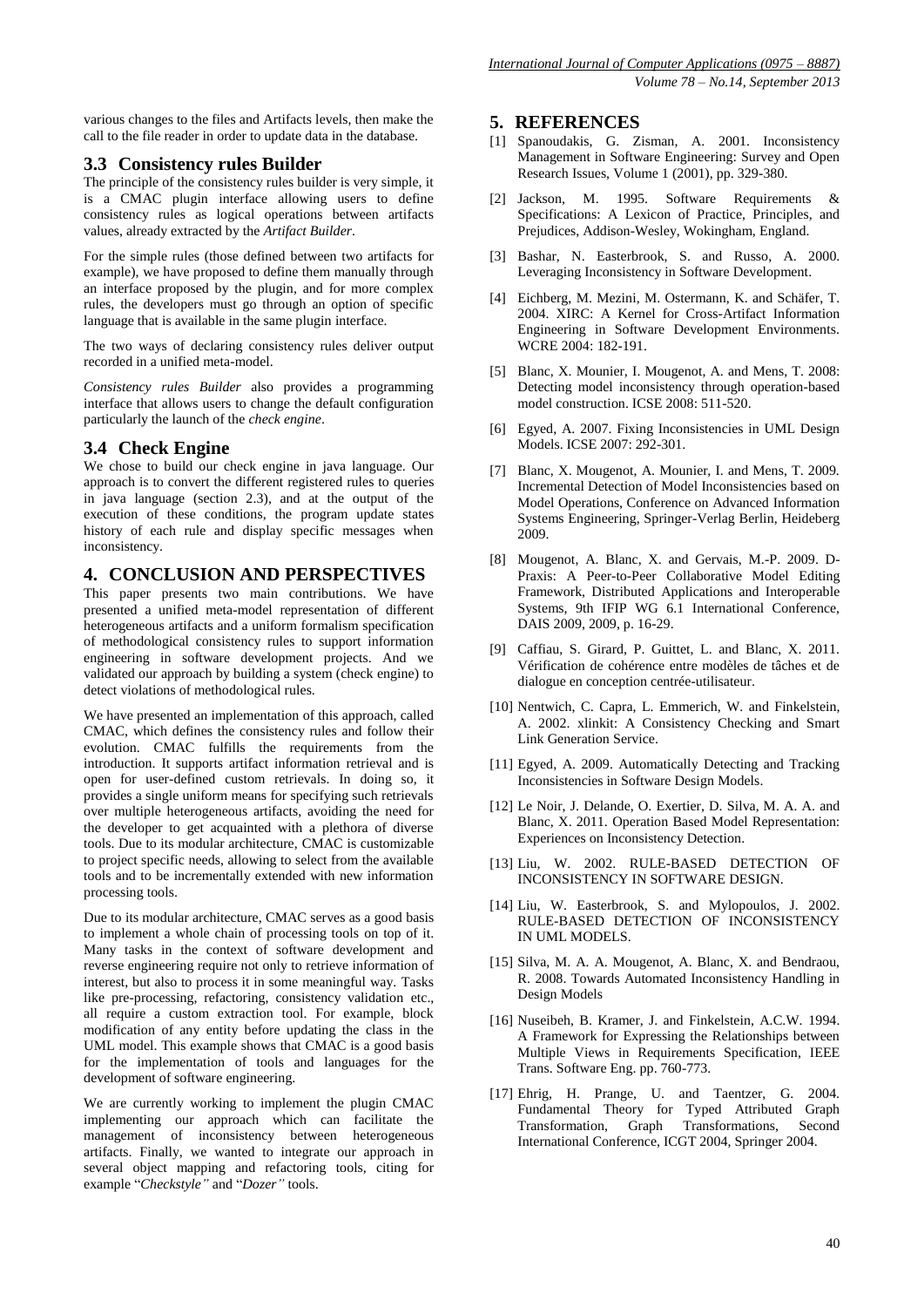various changes to the files and Artifacts levels, then make the call to the file reader in order to update data in the database.

## **3.3 Consistency rules Builder**

The principle of the consistency rules builder is very simple, it is a CMAC plugin interface allowing users to define consistency rules as logical operations between artifacts values, already extracted by the *Artifact Builder*.

For the simple rules (those defined between two artifacts for example), we have proposed to define them manually through an interface proposed by the plugin, and for more complex rules, the developers must go through an option of specific language that is available in the same plugin interface.

The two ways of declaring consistency rules deliver output recorded in a unified meta-model.

*Consistency rules Builder* also provides a programming interface that allows users to change the default configuration particularly the launch of the *check engine*.

# **3.4 Check Engine**

We chose to build our check engine in java language. Our approach is to convert the different registered rules to queries in java language (section 2.3), and at the output of the execution of these conditions, the program update states history of each rule and display specific messages when inconsistency.

# **4. CONCLUSION AND PERSPECTIVES**

This paper presents two main contributions. We have presented a unified meta-model representation of different heterogeneous artifacts and a uniform formalism specification of methodological consistency rules to support information engineering in software development projects. And we validated our approach by building a system (check engine) to detect violations of methodological rules.

We have presented an implementation of this approach, called CMAC, which defines the consistency rules and follow their evolution. CMAC fulfills the requirements from the introduction. It supports artifact information retrieval and is open for user-defined custom retrievals. In doing so, it provides a single uniform means for specifying such retrievals over multiple heterogeneous artifacts, avoiding the need for the developer to get acquainted with a plethora of diverse tools. Due to its modular architecture, CMAC is customizable to project specific needs, allowing to select from the available tools and to be incrementally extended with new information processing tools.

Due to its modular architecture, CMAC serves as a good basis to implement a whole chain of processing tools on top of it. Many tasks in the context of software development and reverse engineering require not only to retrieve information of interest, but also to process it in some meaningful way. Tasks like pre-processing, refactoring, consistency validation etc., all require a custom extraction tool. For example, block modification of any entity before updating the class in the UML model. This example shows that CMAC is a good basis for the implementation of tools and languages for the development of software engineering.

We are currently working to implement the plugin CMAC implementing our approach which can facilitate the management of inconsistency between heterogeneous artifacts. Finally, we wanted to integrate our approach in several object mapping and refactoring tools, citing for example "*Checkstyle"* and "*Dozer"* tools.

#### **5. REFERENCES**

- [1] Spanoudakis, G. Zisman, A. 2001. Inconsistency Management in Software Engineering: Survey and Open Research Issues, Volume 1 (2001), pp. 329-380.
- [2] Jackson, M. 1995. Software Requirements & Specifications: A Lexicon of Practice, Principles, and Prejudices, Addison-Wesley, Wokingham, England.
- [3] Bashar, N. Easterbrook, S. and Russo, A. 2000. Leveraging Inconsistency in Software Development.
- [4] Eichberg, M. Mezini, M. Ostermann, K. and Schäfer, T. 2004. XIRC: A Kernel for Cross-Artifact Information Engineering in Software Development Environments. WCRE 2004: 182-191.
- [5] Blanc, X. Mounier, I. Mougenot, A. and Mens, T. 2008: Detecting model inconsistency through operation-based model construction. ICSE 2008: 511-520.
- [6] Egyed, A. 2007. Fixing Inconsistencies in UML Design Models. ICSE 2007: 292-301.
- [7] Blanc, X. Mougenot, A. Mounier, I. and Mens, T. 2009. Incremental Detection of Model Inconsistencies based on Model Operations, Conference on Advanced Information Systems Engineering, Springer-Verlag Berlin, Heideberg 2009.
- [8] Mougenot, A. Blanc, X. and Gervais, M.-P. 2009. D-Praxis: A Peer-to-Peer Collaborative Model Editing Framework, Distributed Applications and Interoperable Systems, 9th IFIP WG 6.1 International Conference, DAIS 2009, 2009, p. 16-29.
- [9] Caffiau, S. Girard, P. Guittet, L. and Blanc, X. 2011. Vérification de cohérence entre modèles de tâches et de dialogue en conception centrée-utilisateur.
- [10] Nentwich, C. Capra, L. Emmerich, W. and Finkelstein, A. 2002. xlinkit: A Consistency Checking and Smart Link Generation Service.
- [11] Egyed, A. 2009. Automatically Detecting and Tracking Inconsistencies in Software Design Models.
- [12] Le Noir, J. Delande, O. Exertier, D. Silva, M. A. A. and Blanc, X. 2011. Operation Based Model Representation: Experiences on Inconsistency Detection.
- [13] Liu, W. 2002. RULE-BASED DETECTION OF INCONSISTENCY IN SOFTWARE DESIGN.
- [14] Liu, W. Easterbrook, S. and Mylopoulos, J. 2002. RULE-BASED DETECTION OF INCONSISTENCY IN UML MODELS.
- [15] Silva, M. A. A. Mougenot, A. Blanc, X. and Bendraou, R. 2008. Towards Automated Inconsistency Handling in Design Models
- [16] Nuseibeh, B. Kramer, J. and Finkelstein, A.C.W. 1994. A Framework for Expressing the Relationships between Multiple Views in Requirements Specification, IEEE Trans. Software Eng. pp. 760-773.
- [17] Ehrig, H. Prange, U. and Taentzer, G. 2004. Fundamental Theory for Typed Attributed Graph Transformation, Graph Transformations, Second International Conference, ICGT 2004, Springer 2004.